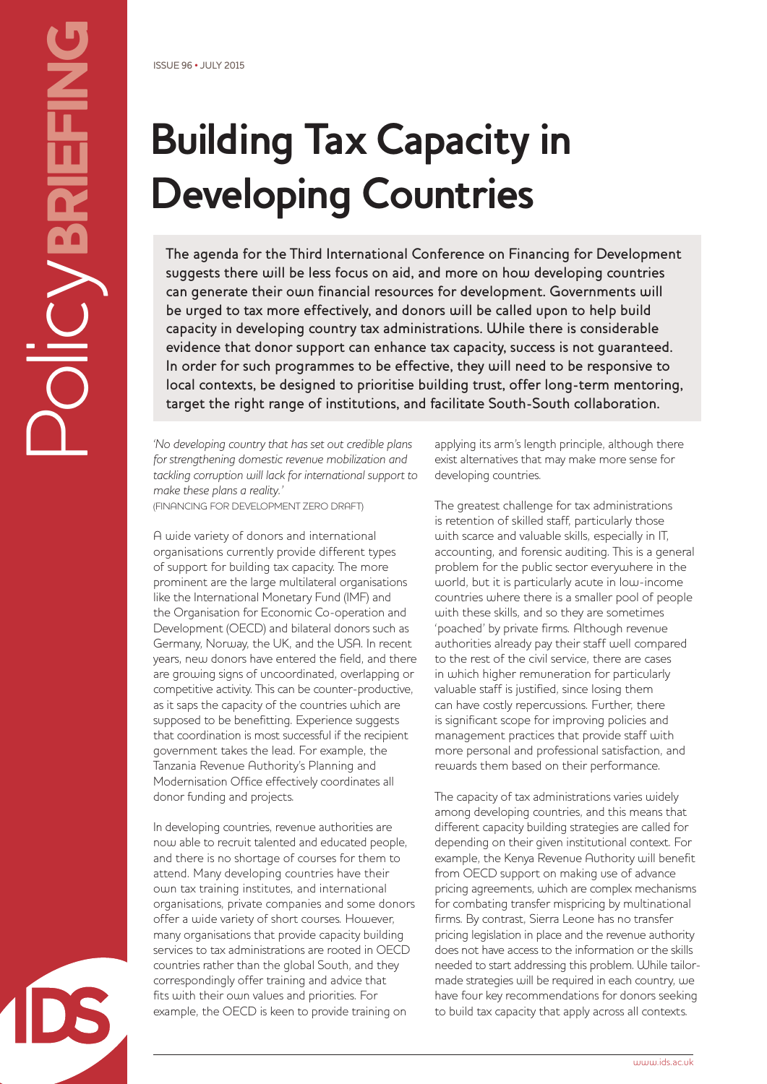# **Building Tax Capacity in Developing Countries**

The agenda for the Third International Conference on Financing for Development suggests there will be less focus on aid, and more on how developing countries can generate their own financial resources for development. Governments will be urged to tax more effectively, and donors will be called upon to help build capacity in developing country tax administrations. While there is considerable evidence that donor support can enhance tax capacity, success is not guaranteed. In order for such programmes to be effective, they will need to be responsive to local contexts, be designed to prioritise building trust, offer long-term mentoring, target the right range of institutions, and facilitate South-South collaboration.

*'No developing country that has set out credible plans for strengthening domestic revenue mobilization and tackling corruption will lack for international support to make these plans a reality.'*

(FINANCING FOR DEVELOPMENT ZERO DRAFT)

A wide variety of donors and international organisations currently provide different types of support for building tax capacity. The more prominent are the large multilateral organisations like the International Monetary Fund (IMF) and the Organisation for Economic Co-operation and Development (OECD) and bilateral donors such as Germany, Norway, the UK, and the USA. In recent years, new donors have entered the field, and there are growing signs of uncoordinated, overlapping or competitive activity. This can be counter-productive, as it saps the capacity of the countries which are supposed to be benefitting. Experience suggests that coordination is most successful if the recipient government takes the lead. For example, the Tanzania Revenue Authority's Planning and Modernisation Office effectively coordinates all donor funding and projects.

In developing countries, revenue authorities are now able to recruit talented and educated people, and there is no shortage of courses for them to attend. Many developing countries have their own tax training institutes, and international organisations, private companies and some donors offer a wide variety of short courses. However, many organisations that provide capacity building services to tax administrations are rooted in OECD countries rather than the global South, and they correspondingly offer training and advice that fits with their own values and priorities. For example, the OECD is keen to provide training on

applying its arm's length principle, although there exist alternatives that may make more sense for developing countries.

The greatest challenge for tax administrations is retention of skilled staff, particularly those with scarce and valuable skills, especially in IT, accounting, and forensic auditing. This is a general problem for the public sector everywhere in the world, but it is particularly acute in low-income countries where there is a smaller pool of people with these skills, and so they are sometimes 'poached' by private firms. Although revenue authorities already pay their staff well compared to the rest of the civil service, there are cases in which higher remuneration for particularly valuable staff is justified, since losing them can have costly repercussions. Further, there is significant scope for improving policies and management practices that provide staff with more personal and professional satisfaction, and rewards them based on their performance.

The capacity of tax administrations varies widely among developing countries, and this means that different capacity building strategies are called for depending on their given institutional context. For example, the Kenya Revenue Authority will benefit from OECD support on making use of advance pricing agreements, which are complex mechanisms for combating transfer mispricing by multinational firms. By contrast, Sierra Leone has no transfer pricing legislation in place and the revenue authority does not have access to the information or the skills needed to start addressing this problem. While tailormade strategies will be required in each country, we have four key recommendations for donors seeking to build tax capacity that apply across all contexts.